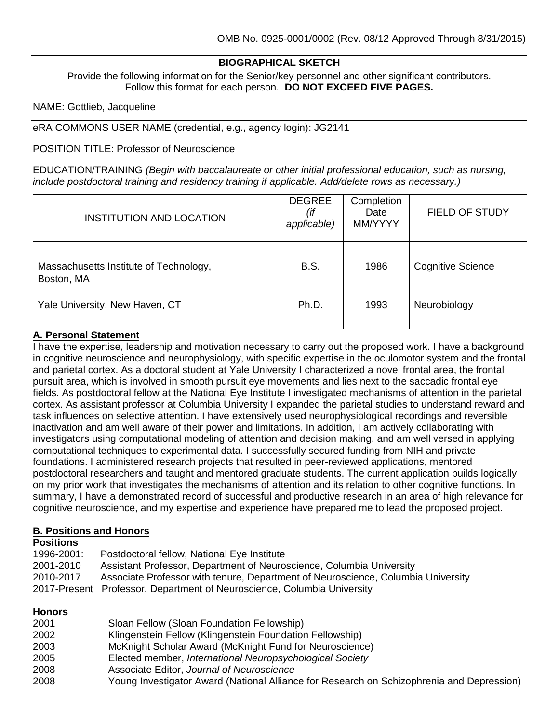## **BIOGRAPHICAL SKETCH**

Provide the following information for the Senior/key personnel and other significant contributors. Follow this format for each person. **DO NOT EXCEED FIVE PAGES.**

#### NAME: Gottlieb, Jacqueline

eRA COMMONS USER NAME (credential, e.g., agency login): JG2141

POSITION TITLE: Professor of Neuroscience

EDUCATION/TRAINING *(Begin with baccalaureate or other initial professional education, such as nursing, include postdoctoral training and residency training if applicable. Add/delete rows as necessary.)*

| INSTITUTION AND LOCATION                             | <b>DEGREE</b><br>(if<br>applicable) | Completion<br>Date<br>MM/YYYY | FIELD OF STUDY           |
|------------------------------------------------------|-------------------------------------|-------------------------------|--------------------------|
| Massachusetts Institute of Technology,<br>Boston, MA | <b>B.S.</b>                         | 1986                          | <b>Cognitive Science</b> |
| Yale University, New Haven, CT                       | Ph.D.                               | 1993                          | Neurobiology             |

## **A. Personal Statement**

I have the expertise, leadership and motivation necessary to carry out the proposed work. I have a background in cognitive neuroscience and neurophysiology, with specific expertise in the oculomotor system and the frontal and parietal cortex. As a doctoral student at Yale University I characterized a novel frontal area, the frontal pursuit area, which is involved in smooth pursuit eye movements and lies next to the saccadic frontal eye fields. As postdoctoral fellow at the National Eye Institute I investigated mechanisms of attention in the parietal cortex. As assistant professor at Columbia University I expanded the parietal studies to understand reward and task influences on selective attention. I have extensively used neurophysiological recordings and reversible inactivation and am well aware of their power and limitations. In addition, I am actively collaborating with investigators using computational modeling of attention and decision making, and am well versed in applying computational techniques to experimental data. I successfully secured funding from NIH and private foundations. I administered research projects that resulted in peer-reviewed applications, mentored postdoctoral researchers and taught and mentored graduate students. The current application builds logically on my prior work that investigates the mechanisms of attention and its relation to other cognitive functions. In summary, I have a demonstrated record of successful and productive research in an area of high relevance for cognitive neuroscience, and my expertise and experience have prepared me to lead the proposed project.

### **B. Positions and Honors**

## **Positions**

| 1996-2001: | Postdoctoral fellow, National Eye Institute                                      |
|------------|----------------------------------------------------------------------------------|
| 2001-2010  | Assistant Professor, Department of Neuroscience, Columbia University             |
| 2010-2017  | Associate Professor with tenure, Department of Neuroscience, Columbia University |
|            | 2017-Present Professor, Department of Neuroscience, Columbia University          |

#### **Honors**

| 2001 | Sloan Fellow (Sloan Foundation Fellowship)                                                |
|------|-------------------------------------------------------------------------------------------|
| 2002 | Klingenstein Fellow (Klingenstein Foundation Fellowship)                                  |
| 2003 | McKnight Scholar Award (McKnight Fund for Neuroscience)                                   |
| 2005 | Elected member, International Neuropsychological Society                                  |
| 2008 | Associate Editor, Journal of Neuroscience                                                 |
| 2008 | Young Investigator Award (National Alliance for Research on Schizophrenia and Depression) |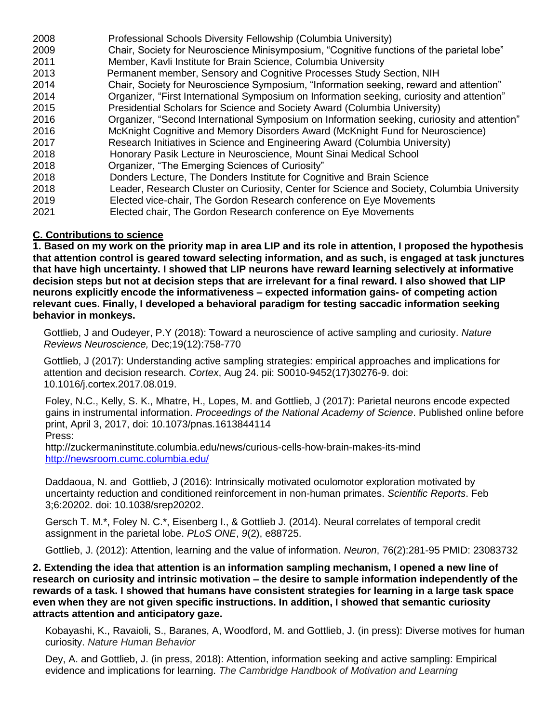| 2008 | Professional Schools Diversity Fellowship (Columbia University)                             |
|------|---------------------------------------------------------------------------------------------|
| 2009 | Chair, Society for Neuroscience Minisymposium, "Cognitive functions of the parietal lobe"   |
| 2011 | Member, Kavli Institute for Brain Science, Columbia University                              |
| 2013 | Permanent member, Sensory and Cognitive Processes Study Section, NIH                        |
| 2014 | Chair, Society for Neuroscience Symposium, "Information seeking, reward and attention"      |
| 2014 | Organizer, "First International Symposium on Information seeking, curiosity and attention"  |
| 2015 | Presidential Scholars for Science and Society Award (Columbia University)                   |
| 2016 | Organizer, "Second International Symposium on Information seeking, curiosity and attention" |
| 2016 | McKnight Cognitive and Memory Disorders Award (McKnight Fund for Neuroscience)              |
| 2017 | Research Initiatives in Science and Engineering Award (Columbia University)                 |
| 2018 | Honorary Pasik Lecture in Neuroscience, Mount Sinai Medical School                          |
| 2018 | Organizer, "The Emerging Sciences of Curiosity"                                             |
| 2018 | Donders Lecture, The Donders Institute for Cognitive and Brain Science                      |
| 2018 | Leader, Research Cluster on Curiosity, Center for Science and Society, Columbia University  |
| 2019 | Elected vice-chair, The Gordon Research conference on Eye Movements                         |
| 2021 | Elected chair, The Gordon Research conference on Eye Movements                              |

# **C. Contributions to science**

**1. Based on my work on the priority map in area LIP and its role in attention, I proposed the hypothesis that attention control is geared toward selecting information, and as such, is engaged at task junctures that have high uncertainty. I showed that LIP neurons have reward learning selectively at informative decision steps but not at decision steps that are irrelevant for a final reward. I also showed that LIP neurons explicitly encode the informativeness – expected information gains- of competing action relevant cues. Finally, I developed a behavioral paradigm for testing saccadic information seeking behavior in monkeys.** 

Gottlieb, J and Oudeyer, P.Y (2018): Toward a neuroscience of active sampling and curiosity. *Nature Reviews Neuroscience,* Dec;19(12):758-770

Gottlieb, J (2017): Understanding active sampling strategies: empirical approaches and implications for attention and decision research. *Cortex*, Aug 24. pii: S0010-9452(17)30276-9. doi: 10.1016/j.cortex.2017.08.019.

Foley, N.C., Kelly, S. K., Mhatre, H., Lopes, M. and Gottlieb, J (2017): Parietal neurons encode expected gains in instrumental information. *Proceedings of the National Academy of Science*. Published online before print, April 3, 2017, doi: 10.1073/pnas.1613844114 Press:

http://zuckermaninstitute.columbia.edu/news/curious-cells-how-brain-makes-its-mind <http://newsroom.cumc.columbia.edu/>

Daddaoua, N. and Gottlieb, J (2016): Intrinsically motivated oculomotor exploration motivated by uncertainty reduction and conditioned reinforcement in non-human primates. *Scientific Reports*. Feb 3;6:20202. doi: 10.1038/srep20202.

Gersch T. M.\*, Foley N. C.\*, Eisenberg I., & Gottlieb J. (2014). Neural correlates of temporal credit assignment in the parietal lobe. *PLoS ONE*, *9*(2), e88725.

Gottlieb, J. (2012): Attention, learning and the value of information. *Neuron*, 76(2):281-95 PMID: 23083732

**2. Extending the idea that attention is an information sampling mechanism, I opened a new line of research on curiosity and intrinsic motivation – the desire to sample information independently of the rewards of a task. I showed that humans have consistent strategies for learning in a large task space even when they are not given specific instructions. In addition, I showed that semantic curiosity attracts attention and anticipatory gaze.** 

Kobayashi, K., Ravaioli, S., Baranes, A, Woodford, M. and Gottlieb, J. (in press): Diverse motives for human curiosity. *Nature Human Behavior*

Dey, A. and Gottlieb, J. (in press, 2018): Attention, information seeking and active sampling: Empirical evidence and implications for learning. *The Cambridge Handbook of Motivation and Learning*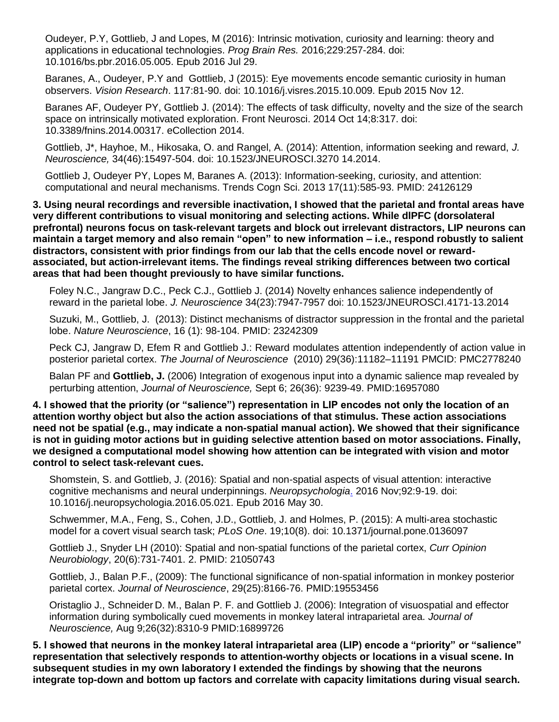Oudeyer, P.Y, Gottlieb, J and Lopes, M (2016): Intrinsic motivation, curiosity and learning: theory and applications in educational technologies. *[Prog Brain Res.](https://www.ncbi.nlm.nih.gov/pubmed/27926442)* 2016;229:257-284. doi: 10.1016/bs.pbr.2016.05.005. Epub 2016 Jul 29.

Baranes, A., Oudeyer, P.Y and Gottlieb, J (2015): Eye movements encode semantic curiosity in human observers. *Vision Research*. 117:81-90. doi: 10.1016/j.visres.2015.10.009. Epub 2015 Nov 12.

Baranes AF, Oudeyer PY, Gottlieb J. (2014): The effects of task difficulty, novelty and the size of the search space on intrinsically motivated exploration. Front Neurosci. 2014 Oct 14;8:317. doi: 10.3389/fnins.2014.00317. eCollection 2014.

Gottlieb, J\*, Hayhoe, M., Hikosaka, O. and Rangel, A. (2014): Attention, information seeking and reward, *J. Neuroscience,* 34(46):15497-504. doi: 10.1523/JNEUROSCI.3270 14.2014.

Gottlieb J, Oudeyer PY, Lopes M, Baranes A. (2013): Information-seeking, curiosity, and attention: computational and neural mechanisms. Trends Cogn Sci. 2013 17(11):585-93. PMID: 24126129

**3. Using neural recordings and reversible inactivation, I showed that the parietal and frontal areas have very different contributions to visual monitoring and selecting actions. While dlPFC (dorsolateral prefrontal) neurons focus on task-relevant targets and block out irrelevant distractors, LIP neurons can maintain a target memory and also remain "open" to new information – i.e., respond robustly to salient distractors, consistent with prior findings from our lab that the cells encode novel or rewardassociated, but action-irrelevant items. The findings reveal striking differences between two cortical areas that had been thought previously to have similar functions.** 

Foley N.C., Jangraw D.C., Peck C.J., Gottlieb J. (2014) Novelty enhances salience independently of reward in the parietal lobe. *J. Neuroscience* 34(23):7947-7957 doi: 10.1523/JNEUROSCI.4171-13.2014

Suzuki, M., Gottlieb, J. (2013): Distinct mechanisms of distractor suppression in the frontal and the parietal lobe. *Nature Neuroscience*, 16 (1): 98-104. PMID: 23242309

Peck CJ, Jangraw D, Efem R and Gottlieb J.: Reward modulates attention independently of action value in posterior parietal cortex. *The Journal of Neuroscience* (2010) 29(36):11182–11191 PMCID: PMC2778240

Balan PF and **Gottlieb, J.** (2006) Integration of exogenous input into a dynamic salience map revealed by perturbing attention, *Journal of Neuroscience,* Sept 6; 26(36): 9239-49. PMID:16957080

**4. I showed that the priority (or "salience") representation in LIP encodes not only the location of an attention worthy object but also the action associations of that stimulus. These action associations need not be spatial (e.g., may indicate a non-spatial manual action). We showed that their significance is not in guiding motor actions but in guiding selective attention based on motor associations. Finally, we designed a computational model showing how attention can be integrated with vision and motor control to select task-relevant cues.** 

Shomstein, S. and Gottlieb, J. (2016): Spatial and non-spatial aspects of visual attention: interactive cognitive mechanisms and neural underpinnings. *[Neuropsychologia](https://www.ncbi.nlm.nih.gov/pubmed/27256592)*. 2016 Nov;92:9-19. doi: 10.1016/j.neuropsychologia.2016.05.021. Epub 2016 May 30.

Schwemmer, M.A., Feng, S., Cohen, J.D., Gottlieb, J. and Holmes, P. (2015): A multi-area stochastic model for a covert visual search task; *PLoS One*. 19;10(8). doi: 10.1371/journal.pone.0136097

Gottlieb J., Snyder LH (2010): Spatial and non-spatial functions of the parietal cortex, *Curr Opinion Neurobiology*, 20(6):731-7401. 2. PMID: 21050743

Gottlieb, J., Balan P.F., (2009): The functional significance of non-spatial information in monkey posterior parietal cortex. *Journal of Neuroscience*, 29(25):8166-76. PMID:19553456

Oristaglio J., Schneider D. M., Balan P. F. and Gottlieb J. (2006): Integration of visuospatial and effector information during symbolically cued movements in monkey lateral intraparietal area. *Journal of Neuroscience,* Aug 9;26(32):8310-9 PMID:16899726

**5. I showed that neurons in the monkey lateral intraparietal area (LIP) encode a "priority" or "salience" representation that selectively responds to attention-worthy objects or locations in a visual scene. In subsequent studies in my own laboratory I extended the findings by showing that the neurons integrate top-down and bottom up factors and correlate with capacity limitations during visual search.**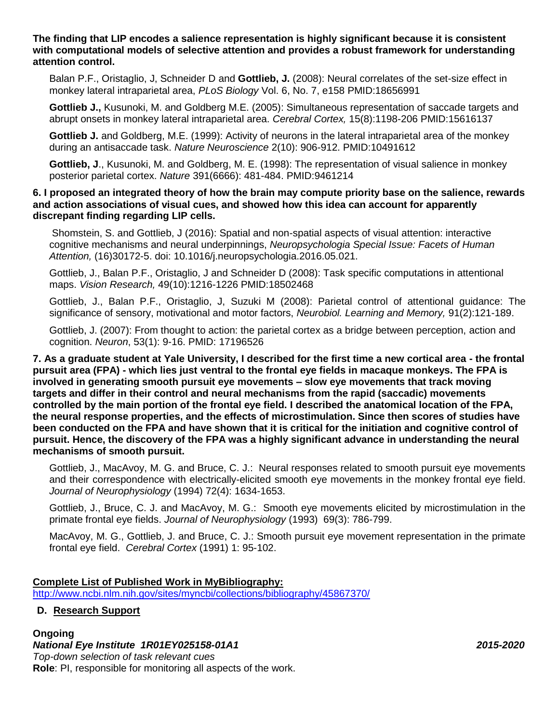## **The finding that LIP encodes a salience representation is highly significant because it is consistent with computational models of selective attention and provides a robust framework for understanding attention control.**

Balan P.F., Oristaglio, J, Schneider D and **Gottlieb, J.** (2008): Neural correlates of the set-size effect in monkey lateral intraparietal area, *PLoS Biology* Vol. 6, No. 7, e158 PMID:18656991

**Gottlieb J.,** Kusunoki, M. and Goldberg M.E. (2005): Simultaneous representation of saccade targets and abrupt onsets in monkey lateral intraparietal area. *Cerebral Cortex,* 15(8):1198-206 PMID:15616137

**Gottlieb J.** and Goldberg, M.E. (1999): Activity of neurons in the lateral intraparietal area of the monkey during an antisaccade task. *Nature Neuroscience* 2(10): 906-912. PMID:10491612

**Gottlieb, J**., Kusunoki, M. and Goldberg, M. E. (1998): The representation of visual salience in monkey posterior parietal cortex. *Nature* 391(6666): 481-484. PMID:9461214

### **6. I proposed an integrated theory of how the brain may compute priority base on the salience, rewards and action associations of visual cues, and showed how this idea can account for apparently discrepant finding regarding LIP cells.**

Shomstein, S. and Gottlieb, J (2016): Spatial and non-spatial aspects of visual attention: interactive cognitive mechanisms and neural underpinnings, *Neuropsychologia Special Issue: Facets of Human Attention,* (16)30172-5. doi: 10.1016/j.neuropsychologia.2016.05.021.

Gottlieb, J., Balan P.F., Oristaglio, J and Schneider D (2008): Task specific computations in attentional maps. *Vision Research,* 49(10):1216-1226 PMID:18502468

Gottlieb, J., Balan P.F., Oristaglio, J, Suzuki M (2008): Parietal control of attentional guidance: The significance of sensory, motivational and motor factors, *Neurobiol. Learning and Memory,* 91(2):121-189.

Gottlieb, J. (2007): From thought to action: the parietal cortex as a bridge between perception, action and cognition. *Neuron*, 53(1): 9-16. PMID: 17196526

**7. As a graduate student at Yale University, I described for the first time a new cortical area - the frontal pursuit area (FPA) - which lies just ventral to the frontal eye fields in macaque monkeys. The FPA is involved in generating smooth pursuit eye movements – slow eye movements that track moving targets and differ in their control and neural mechanisms from the rapid (saccadic) movements controlled by the main portion of the frontal eye field. I described the anatomical location of the FPA, the neural response properties, and the effects of microstimulation. Since then scores of studies have been conducted on the FPA and have shown that it is critical for the initiation and cognitive control of pursuit. Hence, the discovery of the FPA was a highly significant advance in understanding the neural mechanisms of smooth pursuit.**

Gottlieb, J., MacAvoy, M. G. and Bruce, C. J.: Neural responses related to smooth pursuit eye movements and their correspondence with electrically-elicited smooth eye movements in the monkey frontal eye field. *Journal of Neurophysiology* (1994) 72(4): 1634-1653.

Gottlieb, J., Bruce, C. J. and MacAvoy, M. G.: Smooth eye movements elicited by microstimulation in the primate frontal eye fields. *Journal of Neurophysiology* (1993) 69(3): 786-799.

MacAvoy, M. G., Gottlieb, J. and Bruce, C. J.: Smooth pursuit eye movement representation in the primate frontal eye field. *Cerebral Cortex* (1991) 1: 95-102.

### **Complete List of Published Work in MyBibliography:** <http://www.ncbi.nlm.nih.gov/sites/myncbi/collections/bibliography/45867370/>

## **D. Research Support**

## **Ongoing**

*National Eye Institute [1R01EY025158-01A1](https://public.era.nih.gov/grantfolder/piAppDetails/genericStatus.do?encryptedParam=Fsc-aTw-y-U.qF6xLl6f2p8fs2IzmI70mlz9_2TjHau9ohuCqM7JAaU.) 2015-2020 Top-down selection of task relevant cues* **Role**: PI, responsible for monitoring all aspects of the work.